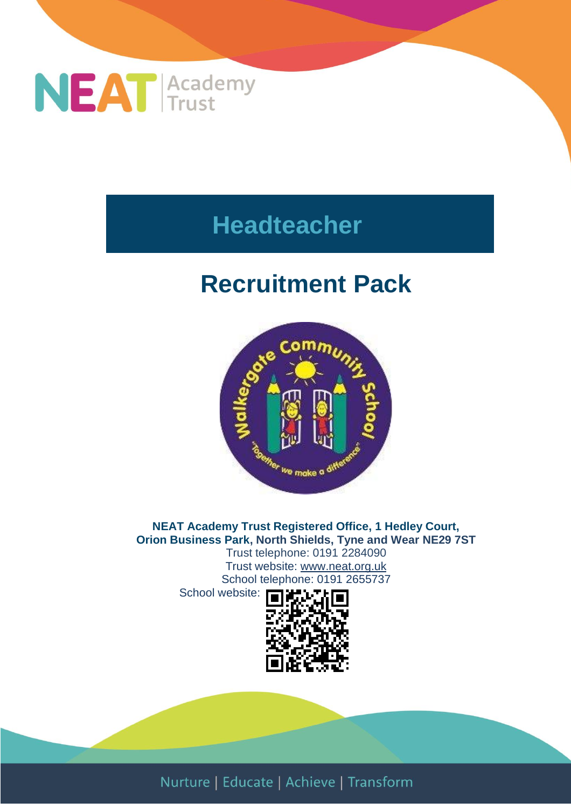

# **Headteacher**

# **Recruitment Pack**



**NEAT Academy Trust Registered Office, 1 Hedley Court, Orion Business Park, North Shields, Tyne and Wear NE29 7ST** Trust telephone: 0191 2284090 Trust website: [www.neat.org.uk](http://www.neat.org.uk/) School telephone: [0191 2655737](https://www.google.com/search?q=central+walker+primary+school&rlz=1C1GGRV_enGB943GB943&oq=CENTRAL+WALKER+primary+school&aqs=chrome.0.0l6j69i60l2.5930j1j7&sourceid=chrome&ie=UTF-8)

School website:

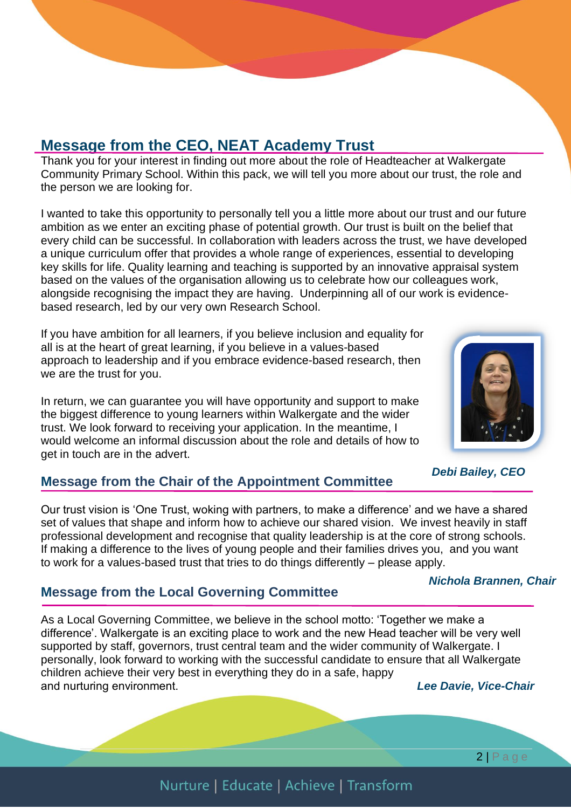### **Message from the CEO, NEAT Academy Trust**

Thank you for your interest in finding out more about the role of Headteacher at Walkergate Community Primary School. Within this pack, we will tell you more about our trust, the role and the person we are looking for.

I wanted to take this opportunity to personally tell you a little more about our trust and our future ambition as we enter an exciting phase of potential growth. Our trust is built on the belief that every child can be successful. In collaboration with leaders across the trust, we have developed a unique curriculum offer that provides a whole range of experiences, essential to developing key skills for life. Quality learning and teaching is supported by an innovative appraisal system based on the values of the organisation allowing us to celebrate how our colleagues work, alongside recognising the impact they are having. Underpinning all of our work is evidencebased research, led by our very own Research School.

If you have ambition for all learners, if you believe inclusion and equality for all is at the heart of great learning, if you believe in a values-based approach to leadership and if you embrace evidence-based research, then we are the trust for you.

In return, we can guarantee you will have opportunity and support to make the biggest difference to young learners within Walkergate and the wider trust. We look forward to receiving your application. In the meantime, I would welcome an informal discussion about the role and details of how to get in touch are in the advert.

#### **Message from the Chair of the Appointment Committee**

Our trust vision is 'One Trust, woking with partners, to make a difference' and we have a shared set of values that shape and inform how to achieve our shared vision. We invest heavily in staff professional development and recognise that quality leadership is at the core of strong schools. If making a difference to the lives of young people and their families drives you, and you want to work for a values-based trust that tries to do things differently – please apply.

#### **Message from the Local Governing Committee**

As a Local Governing Committee, we believe in the school motto: 'Together we make a difference'. Walkergate is an exciting place to work and the new Head teacher will be very well supported by staff, governors, trust central team and the wider community of Walkergate. I personally, look forward to working with the successful candidate to ensure that all Walkergate children achieve their very best in everything they do in a safe, happy and nurturing environment.  *Lee Davie, Vice-Chair*



*Nichola Brannen, Chair*

2 | Page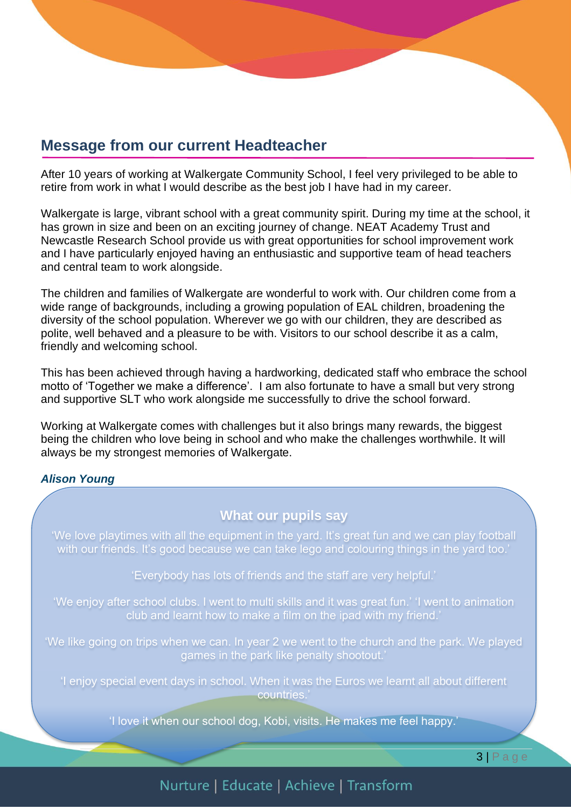#### **Message from our current Headteacher**

After 10 years of working at Walkergate Community School, I feel very privileged to be able to retire from work in what I would describe as the best job I have had in my career.

Walkergate is large, vibrant school with a great community spirit. During my time at the school, it has grown in size and been on an exciting journey of change. NEAT Academy Trust and Newcastle Research School provide us with great opportunities for school improvement work and I have particularly enjoyed having an enthusiastic and supportive team of head teachers and central team to work alongside.

The children and families of Walkergate are wonderful to work with. Our children come from a wide range of backgrounds, including a growing population of EAL children, broadening the diversity of the school population. Wherever we go with our children, they are described as polite, well behaved and a pleasure to be with. Visitors to our school describe it as a calm, friendly and welcoming school.

This has been achieved through having a hardworking, dedicated staff who embrace the school motto of 'Together we make a difference'. I am also fortunate to have a small but very strong and supportive SLT who work alongside me successfully to drive the school forward.

Working at Walkergate comes with challenges but it also brings many rewards, the biggest being the children who love being in school and who make the challenges worthwhile. It will always be my strongest memories of Walkergate.

#### *Alison Young*

#### **What our pupils say**

'We love playtimes with all the equipment in the yard. It's great fun and we can play football with our friends. It's good because we can take lego and colouring things in the yard too.'

'Everybody has lots of friends and the staff are very helpful.'

'We enjoy after school clubs. I went to multi skills and it was great fun.' 'I went to animation club and learnt how to make a film on the ipad with my friend.'

'We like going on trips when we can. In year 2 we went to the church and the park. We played games in the park like penalty shootout.'

'I enjoy special event days in school. When it was the Euros we learnt all about different countries.'

'I love it when our school dog, Kobi, visits. He makes me feel happy.'

3 | P a g e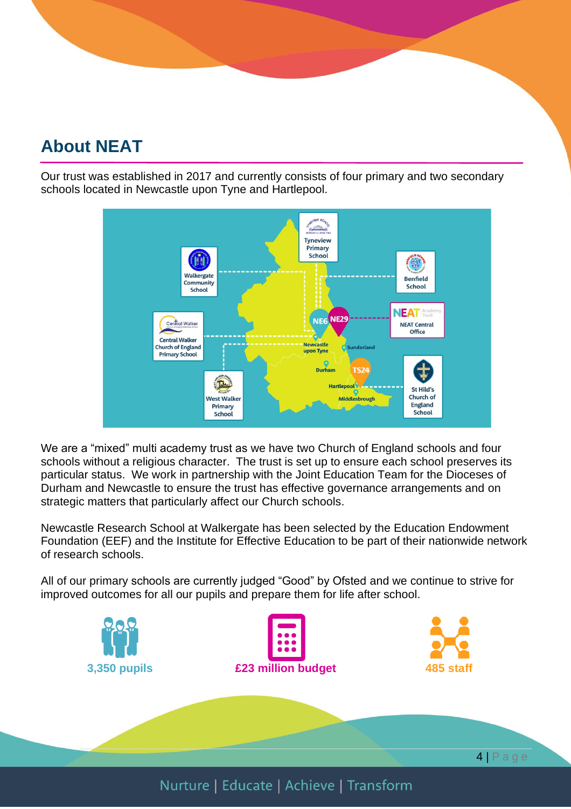## **About NEAT**

Our trust was established in 2017 and currently consists of four primary and two secondary schools located in Newcastle upon Tyne and Hartlepool.



We are a "mixed" multi academy trust as we have two Church of England schools and four schools without a religious character. The trust is set up to ensure each school preserves its particular status. We work in partnership with the Joint Education Team for the Dioceses of Durham and Newcastle to ensure the trust has effective governance arrangements and on strategic matters that particularly affect our Church schools.

Newcastle Research School at Walkergate has been selected by the Education Endowment Foundation (EEF) and the Institute for Effective Education to be part of their nationwide network of research schools.

All of our primary schools are currently judged "Good" by Ofsted and we continue to strive for improved outcomes for all our pupils and prepare them for life after school.

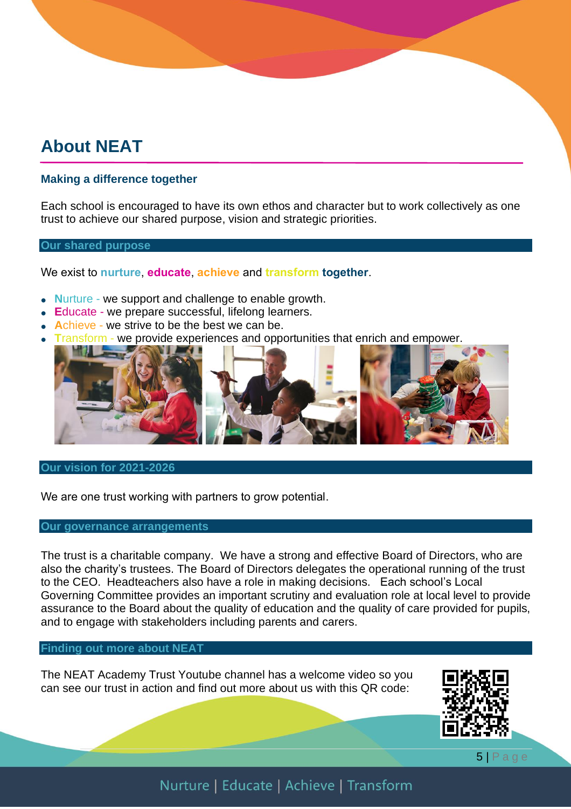### **About NEAT**

#### **Making a difference together**

Each school is encouraged to have its own ethos and character but to work collectively as one trust to achieve our shared purpose, vision and strategic priorities.

#### **Our shared purpose**

We exist to **nurture**, **educate**, **achieve** and **transform together**.

- **N**urture we support and challenge to enable growth.
- **E**ducate we prepare successful, lifelong learners.
- **A**chieve we strive to be the best we can be.
- **T**ransform we provide experiences and opportunities that enrich and empower.



#### **Our vision for 2021-2026**

We are one trust working with partners to grow potential.

#### **Our governance arrangements**

The trust is a charitable company. We have a strong and effective Board of Directors, who are also the charity's trustees. The Board of Directors delegates the operational running of the trust to the CEO. Headteachers also have a role in making decisions. Each school's Local Governing Committee provides an important scrutiny and evaluation role at local level to provide assurance to the Board about the quality of education and the quality of care provided for pupils, and to engage with stakeholders including parents and carers.

#### **Finding out more about NEAT**

The NEAT Academy Trust Youtube channel has a welcome video so you can see our trust in action and find out more about us with this QR code:



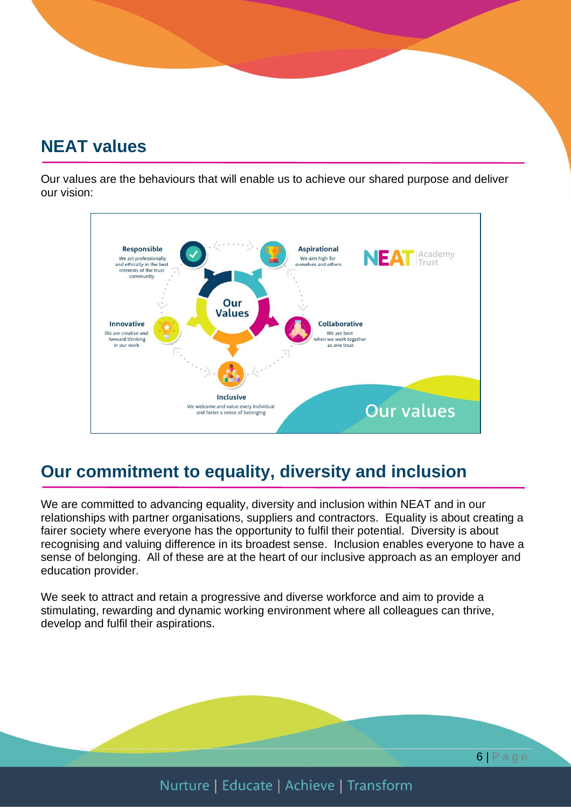### **NEAT values**

Our values are the behaviours that will enable us to achieve our shared purpose and deliver our vision:



### **Our commitment to equality, diversity and inclusion**

We are committed to advancing equality, diversity and inclusion within NEAT and in our relationships with partner organisations, suppliers and contractors. Equality is about creating a fairer society where everyone has the opportunity to fulfil their potential. Diversity is about recognising and valuing difference in its broadest sense. Inclusion enables everyone to have a sense of belonging. All of these are at the heart of our inclusive approach as an employer and education provider.

We seek to attract and retain a progressive and diverse workforce and aim to provide a stimulating, rewarding and dynamic working environment where all colleagues can thrive, develop and fulfil their aspirations.

Nurture | Educate | Achieve | Transform

6 | P a g e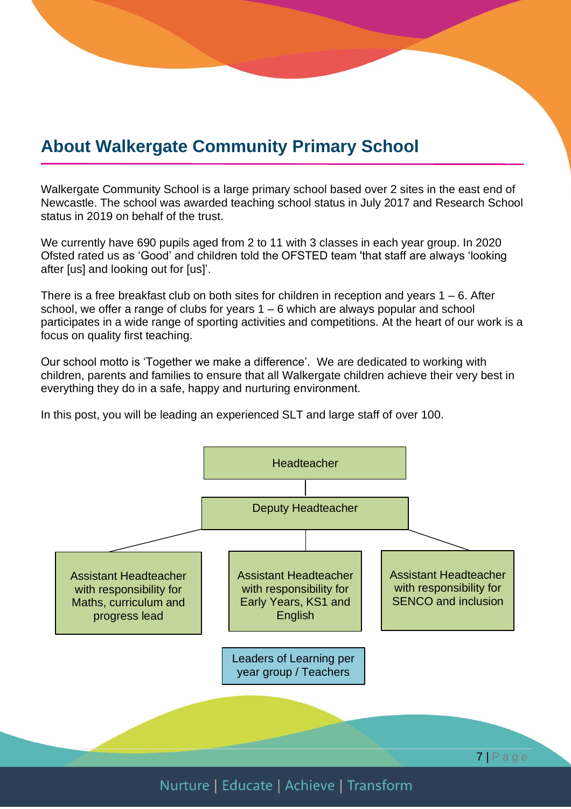## **About Walkergate Community Primary School**

Walkergate Community School is a large primary school based over 2 sites in the east end of Newcastle. The school was awarded teaching school status in July 2017 and Research School status in 2019 on behalf of the trust.

We currently have 690 pupils aged from 2 to 11 with 3 classes in each year group. In 2020 Ofsted rated us as 'Good' and children told the OFSTED team 'that staff are always 'looking after [us] and looking out for [us]'.

There is a free breakfast club on both sites for children in reception and years  $1 - 6$ . After school, we offer a range of clubs for years  $1 - 6$  which are always popular and school participates in a wide range of sporting activities and competitions. At the heart of our work is a focus on quality first teaching.

Our school motto is 'Together we make a difference'. We are dedicated to working with children, parents and families to ensure that all Walkergate children achieve their very best in everything they do in a safe, happy and nurturing environment. 

In this post, you will be leading an experienced SLT and large staff of over 100.

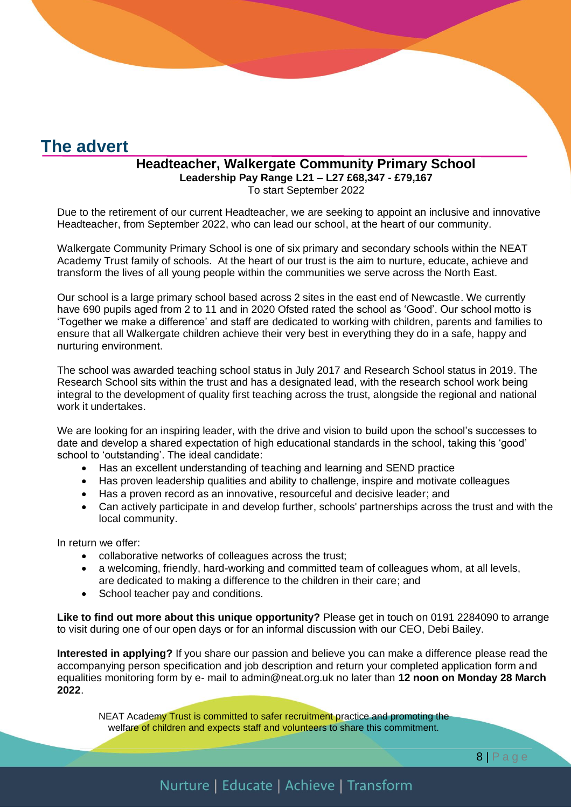### **The advert**

### **Headteacher, Walkergate Community Primary School**

**Leadership Pay Range L21 – L27 £68,347 - £79,167** To start September 2022

Due to the retirement of our current Headteacher, we are seeking to appoint an inclusive and innovative Headteacher, from September 2022, who can lead our school, at the heart of our community.

Walkergate Community Primary School is one of six primary and secondary schools within the NEAT Academy Trust family of schools. At the heart of our trust is the aim to nurture, educate, achieve and transform the lives of all young people within the communities we serve across the North East.

Our school is a large primary school based across 2 sites in the east end of Newcastle. We currently have 690 pupils aged from 2 to 11 and in 2020 Ofsted rated the school as 'Good'. Our school motto is 'Together we make a difference' and staff are dedicated to working with children, parents and families to ensure that all Walkergate children achieve their very best in everything they do in a safe, happy and nurturing environment.

The school was awarded teaching school status in July 2017 and Research School status in 2019. The Research School sits within the trust and has a designated lead, with the research school work being integral to the development of quality first teaching across the trust, alongside the regional and national work it undertakes.

We are looking for an inspiring leader, with the drive and vision to build upon the school's successes to date and develop a shared expectation of high educational standards in the school, taking this 'good' school to 'outstanding'. The ideal candidate:

- Has an excellent understanding of teaching and learning and SEND practice
- Has proven leadership qualities and ability to challenge, inspire and motivate colleagues
- Has a proven record as an innovative, resourceful and decisive leader; and
- Can actively participate in and develop further, schools' partnerships across the trust and with the local community.

In return we offer:

- collaborative networks of colleagues across the trust;
- a welcoming, friendly, hard-working and committed team of colleagues whom, at all levels, are dedicated to making a difference to the children in their care; and
- School teacher pay and conditions.

**Like to find out more about this unique opportunity?** Please get in touch on 0191 2284090 to arrange to visit during one of our open days or for an informal discussion with our CEO, Debi Bailey.

**Interested in applying?** If you share our passion and believe you can make a difference please read the accompanying person specification and job description and return your completed application form and equalities monitoring form by e- mail to admin@neat.org.uk no later than **12 noon on Monday 28 March 2022**.

NEAT Academy Trust is committed to safer recruitment practice and promoting the welfare of children and expects staff and volunteers to share this commitment.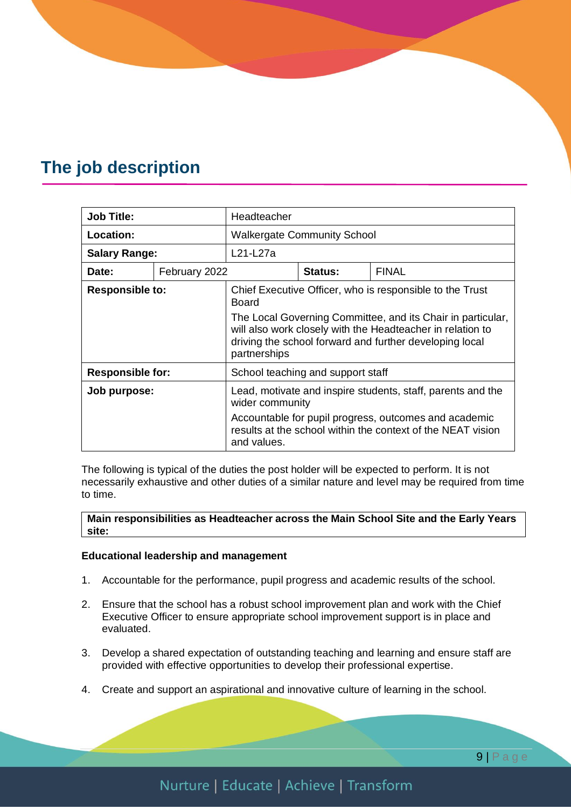### **The job description**

| <b>Job Title:</b>       |               | Headteacher                                                                                                                                                                                          |         |              |  |  |
|-------------------------|---------------|------------------------------------------------------------------------------------------------------------------------------------------------------------------------------------------------------|---------|--------------|--|--|
| Location:               |               | <b>Walkergate Community School</b>                                                                                                                                                                   |         |              |  |  |
| <b>Salary Range:</b>    |               | L21-L27a                                                                                                                                                                                             |         |              |  |  |
| Date:                   | February 2022 |                                                                                                                                                                                                      | Status: | <b>FINAL</b> |  |  |
| <b>Responsible to:</b>  |               | Chief Executive Officer, who is responsible to the Trust<br><b>Board</b>                                                                                                                             |         |              |  |  |
|                         |               | The Local Governing Committee, and its Chair in particular,<br>will also work closely with the Headteacher in relation to<br>driving the school forward and further developing local<br>partnerships |         |              |  |  |
| <b>Responsible for:</b> |               | School teaching and support staff                                                                                                                                                                    |         |              |  |  |
| Job purpose:            |               | Lead, motivate and inspire students, staff, parents and the<br>wider community                                                                                                                       |         |              |  |  |
|                         |               | Accountable for pupil progress, outcomes and academic<br>results at the school within the context of the NEAT vision<br>and values.                                                                  |         |              |  |  |

The following is typical of the duties the post holder will be expected to perform. It is not necessarily exhaustive and other duties of a similar nature and level may be required from time to time.

#### **Main responsibilities as Headteacher across the Main School Site and the Early Years site:**

#### **Educational leadership and management**

- 1. Accountable for the performance, pupil progress and academic results of the school.
- 2. Ensure that the school has a robust school improvement plan and work with the Chief Executive Officer to ensure appropriate school improvement support is in place and evaluated.
- 3. Develop a shared expectation of outstanding teaching and learning and ensure staff are provided with effective opportunities to develop their professional expertise.
- 4. Create and support an aspirational and innovative culture of learning in the school.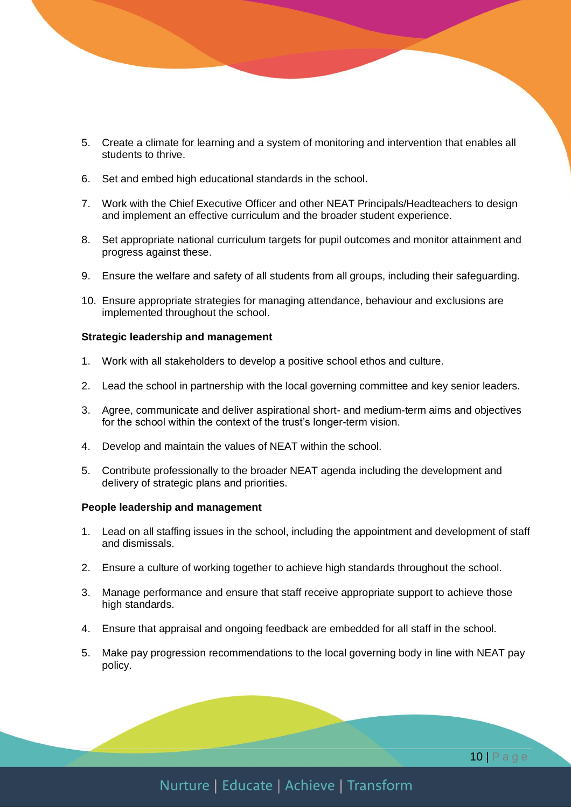- 5. Create a climate for learning and a system of monitoring and intervention that enables all students to thrive.
- 6. Set and embed high educational standards in the school.
- 7. Work with the Chief Executive Officer and other NEAT Principals/Headteachers to design and implement an effective curriculum and the broader student experience.
- 8. Set appropriate national curriculum targets for pupil outcomes and monitor attainment and progress against these.
- 9. Ensure the welfare and safety of all students from all groups, including their safeguarding.
- 10. Ensure appropriate strategies for managing attendance, behaviour and exclusions are implemented throughout the school.

#### **Strategic leadership and management**

- 1. Work with all stakeholders to develop a positive school ethos and culture.
- 2. Lead the school in partnership with the local governing committee and key senior leaders.
- 3. Agree, communicate and deliver aspirational short- and medium-term aims and objectives for the school within the context of the trust's longer-term vision.
- 4. Develop and maintain the values of NEAT within the school.
- 5. Contribute professionally to the broader NEAT agenda including the development and delivery of strategic plans and priorities.

#### **People leadership and management**

- 1. Lead on all staffing issues in the school, including the appointment and development of staff and dismissals.
- 2. Ensure a culture of working together to achieve high standards throughout the school.
- 3. Manage performance and ensure that staff receive appropriate support to achieve those high standards.
- 4. Ensure that appraisal and ongoing feedback are embedded for all staff in the school.
- 5. Make pay progression recommendations to the local governing body in line with NEAT pay policy.

10 | P a g e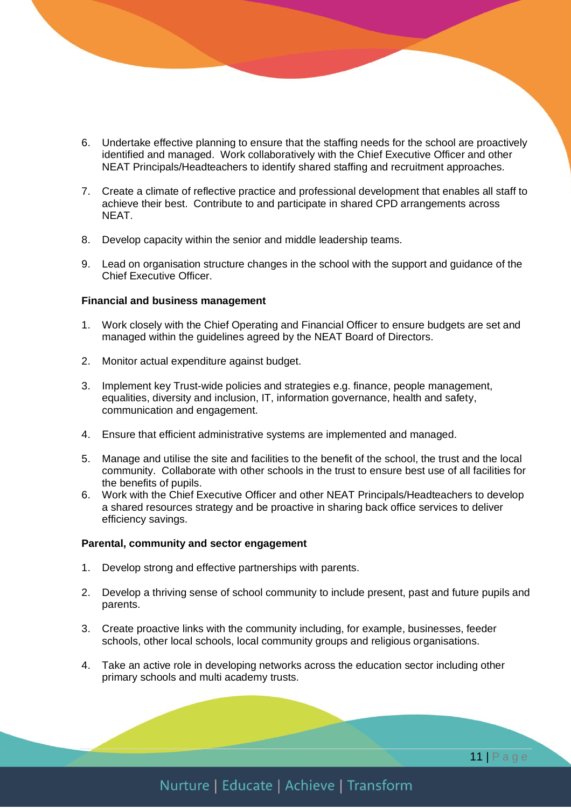- 6. Undertake effective planning to ensure that the staffing needs for the school are proactively identified and managed. Work collaboratively with the Chief Executive Officer and other NEAT Principals/Headteachers to identify shared staffing and recruitment approaches.
- 7. Create a climate of reflective practice and professional development that enables all staff to achieve their best. Contribute to and participate in shared CPD arrangements across NEAT.
- 8. Develop capacity within the senior and middle leadership teams.
- 9. Lead on organisation structure changes in the school with the support and guidance of the Chief Executive Officer.

#### **Financial and business management**

- 1. Work closely with the Chief Operating and Financial Officer to ensure budgets are set and managed within the guidelines agreed by the NEAT Board of Directors.
- 2. Monitor actual expenditure against budget.
- 3. Implement key Trust-wide policies and strategies e.g. finance, people management, equalities, diversity and inclusion, IT, information governance, health and safety, communication and engagement.
- 4. Ensure that efficient administrative systems are implemented and managed.
- 5. Manage and utilise the site and facilities to the benefit of the school, the trust and the local community. Collaborate with other schools in the trust to ensure best use of all facilities for the benefits of pupils.
- 6. Work with the Chief Executive Officer and other NEAT Principals/Headteachers to develop a shared resources strategy and be proactive in sharing back office services to deliver efficiency savings.

#### **Parental, community and sector engagement**

- 1. Develop strong and effective partnerships with parents.
- 2. Develop a thriving sense of school community to include present, past and future pupils and parents.
- 3. Create proactive links with the community including, for example, businesses, feeder schools, other local schools, local community groups and religious organisations.
- 4. Take an active role in developing networks across the education sector including other primary schools and multi academy trusts.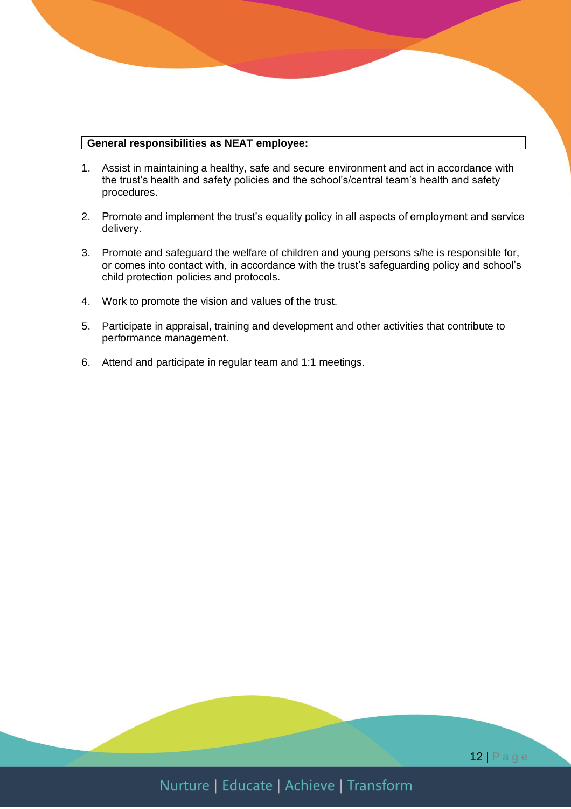#### **General responsibilities as NEAT employee:**

- 1. Assist in maintaining a healthy, safe and secure environment and act in accordance with the trust's health and safety policies and the school's/central team's health and safety procedures.
- 2. Promote and implement the trust's equality policy in all aspects of employment and service delivery.
- 3. Promote and safeguard the welfare of children and young persons s/he is responsible for, or comes into contact with, in accordance with the trust's safeguarding policy and school's child protection policies and protocols.
- 4. Work to promote the vision and values of the trust.
- 5. Participate in appraisal, training and development and other activities that contribute to performance management.
- 6. Attend and participate in regular team and 1:1 meetings.

Nurture | Educate | Achieve | Transform

12 | P a g e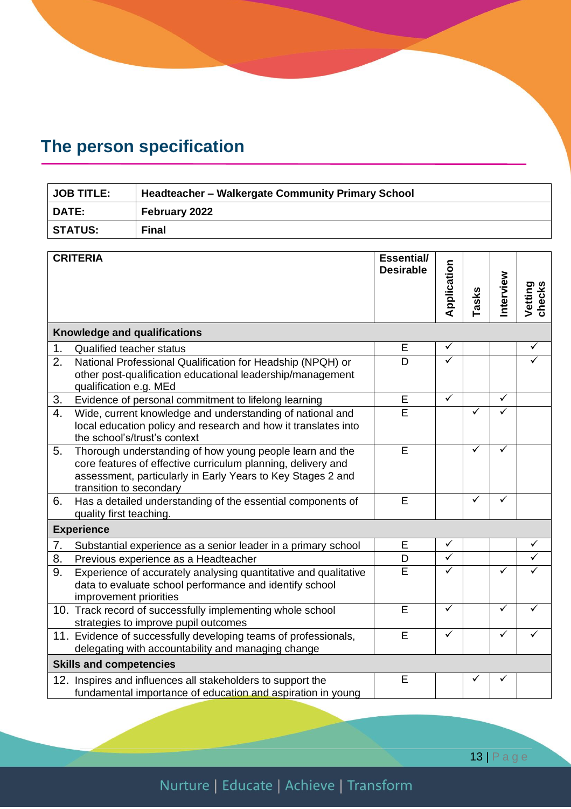# **The person specification**

|                                | <b>JOB TITLE:</b>                                                                                                                                                                                                  | <b>Headteacher - Walkergate Community Primary School</b>                                                                   |                                       |              |              |              |                   |  |
|--------------------------------|--------------------------------------------------------------------------------------------------------------------------------------------------------------------------------------------------------------------|----------------------------------------------------------------------------------------------------------------------------|---------------------------------------|--------------|--------------|--------------|-------------------|--|
| DATE:<br>February 2022         |                                                                                                                                                                                                                    |                                                                                                                            |                                       |              |              |              |                   |  |
|                                | <b>STATUS:</b>                                                                                                                                                                                                     | <b>Final</b>                                                                                                               |                                       |              |              |              |                   |  |
|                                | <b>CRITERIA</b>                                                                                                                                                                                                    |                                                                                                                            | <b>Essential/</b><br><b>Desirable</b> | Application  | asks         | Interview    | Vetting<br>checks |  |
| Knowledge and qualifications   |                                                                                                                                                                                                                    |                                                                                                                            |                                       |              |              |              |                   |  |
| 1.                             | <b>Qualified teacher status</b>                                                                                                                                                                                    | E                                                                                                                          | ✓                                     |              |              | ✓            |                   |  |
| 2.                             | National Professional Qualification for Headship (NPQH) or<br>other post-qualification educational leadership/management<br>qualification e.g. MEd                                                                 |                                                                                                                            | D                                     | ✓            |              |              | ✓                 |  |
| 3.                             |                                                                                                                                                                                                                    | Evidence of personal commitment to lifelong learning                                                                       |                                       | $\checkmark$ |              | $\checkmark$ |                   |  |
| 4.                             | Wide, current knowledge and understanding of national and<br>local education policy and research and how it translates into<br>the school's/trust's context                                                        |                                                                                                                            | E                                     |              | ✓            | ✓            |                   |  |
| 5.                             | Thorough understanding of how young people learn and the<br>core features of effective curriculum planning, delivery and<br>assessment, particularly in Early Years to Key Stages 2 and<br>transition to secondary |                                                                                                                            | E                                     |              | $\checkmark$ | ✓            |                   |  |
| 6.                             | Has a detailed understanding of the essential components of<br>quality first teaching.                                                                                                                             |                                                                                                                            | E                                     |              | ✓            | ✓            |                   |  |
| <b>Experience</b>              |                                                                                                                                                                                                                    |                                                                                                                            |                                       |              |              |              |                   |  |
| 7.                             |                                                                                                                                                                                                                    | Substantial experience as a senior leader in a primary school                                                              | E                                     | $\checkmark$ |              |              | ✓                 |  |
| 8.                             |                                                                                                                                                                                                                    | Previous experience as a Headteacher                                                                                       | D                                     | $\checkmark$ |              |              | $\checkmark$      |  |
| 9.                             | improvement priorities                                                                                                                                                                                             | Experience of accurately analysing quantitative and qualitative<br>data to evaluate school performance and identify school | E                                     | ✓            |              | ✓            |                   |  |
|                                |                                                                                                                                                                                                                    | 10. Track record of successfully implementing whole school<br>strategies to improve pupil outcomes                         | E                                     | $\checkmark$ |              | $\checkmark$ |                   |  |
|                                |                                                                                                                                                                                                                    | 11. Evidence of successfully developing teams of professionals,<br>delegating with accountability and managing change      | E                                     | ✓            |              | $\checkmark$ |                   |  |
| <b>Skills and competencies</b> |                                                                                                                                                                                                                    |                                                                                                                            |                                       |              |              |              |                   |  |
|                                |                                                                                                                                                                                                                    | 12. Inspires and influences all stakeholders to support the<br>fundamental importance of education and aspiration in young | E                                     |              |              | ✓            |                   |  |

13 | P a g e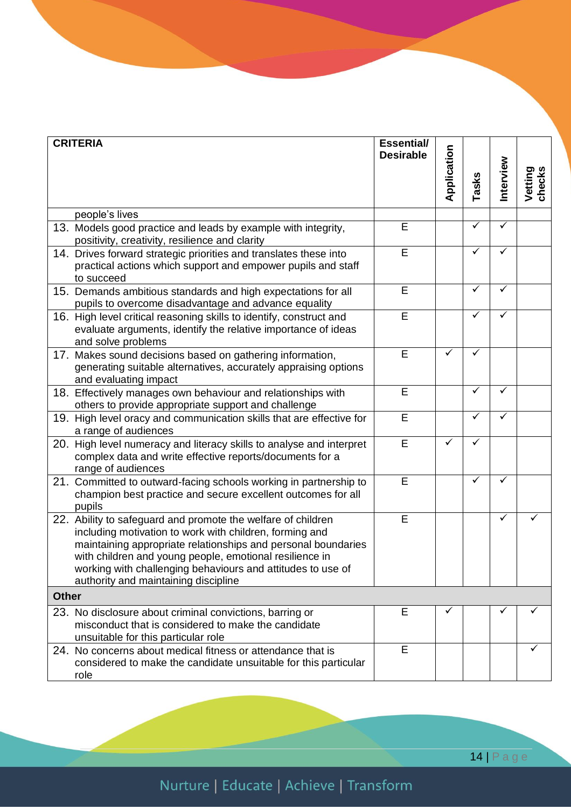| <b>CRITERIA</b> |                                                                                                                                                                                                                                                                                                                                                            | <b>Essential/</b> |             |      |           |                   |
|-----------------|------------------------------------------------------------------------------------------------------------------------------------------------------------------------------------------------------------------------------------------------------------------------------------------------------------------------------------------------------------|-------------------|-------------|------|-----------|-------------------|
|                 |                                                                                                                                                                                                                                                                                                                                                            | <b>Desirable</b>  | Application | asks | Interview | Vetting<br>checks |
|                 | people's lives                                                                                                                                                                                                                                                                                                                                             |                   |             |      |           |                   |
|                 | 13. Models good practice and leads by example with integrity,<br>positivity, creativity, resilience and clarity                                                                                                                                                                                                                                            | E                 |             |      | ✓         |                   |
|                 | 14. Drives forward strategic priorities and translates these into<br>practical actions which support and empower pupils and staff<br>to succeed                                                                                                                                                                                                            | E                 |             |      | ✓         |                   |
|                 | 15. Demands ambitious standards and high expectations for all<br>pupils to overcome disadvantage and advance equality                                                                                                                                                                                                                                      | Е                 |             | ✓    | ✓         |                   |
|                 | 16. High level critical reasoning skills to identify, construct and<br>evaluate arguments, identify the relative importance of ideas<br>and solve problems                                                                                                                                                                                                 | E                 |             |      |           |                   |
|                 | 17. Makes sound decisions based on gathering information,<br>generating suitable alternatives, accurately appraising options<br>and evaluating impact                                                                                                                                                                                                      | E                 | ✓           | ✓    |           |                   |
|                 | 18. Effectively manages own behaviour and relationships with<br>others to provide appropriate support and challenge                                                                                                                                                                                                                                        | E                 |             | ✓    | ✓         |                   |
|                 | 19. High level oracy and communication skills that are effective for<br>a range of audiences                                                                                                                                                                                                                                                               | E                 |             | ✓    | ✓         |                   |
|                 | 20. High level numeracy and literacy skills to analyse and interpret<br>complex data and write effective reports/documents for a<br>range of audiences                                                                                                                                                                                                     | E                 | ✓           | ✓    |           |                   |
|                 | 21. Committed to outward-facing schools working in partnership to<br>champion best practice and secure excellent outcomes for all<br>pupils                                                                                                                                                                                                                | E                 |             | ✓    |           |                   |
|                 | 22. Ability to safeguard and promote the welfare of children<br>including motivation to work with children, forming and<br>maintaining appropriate relationships and personal boundaries<br>with children and young people, emotional resilience in<br>working with challenging behaviours and attitudes to use of<br>authority and maintaining discipline | E                 |             |      | ✓         |                   |
| <b>Other</b>    |                                                                                                                                                                                                                                                                                                                                                            |                   |             |      |           |                   |
|                 | 23. No disclosure about criminal convictions, barring or<br>misconduct that is considered to make the candidate<br>unsuitable for this particular role                                                                                                                                                                                                     | Е                 | ✓           |      |           |                   |
|                 | 24. No concerns about medical fitness or attendance that is<br>considered to make the candidate unsuitable for this particular<br>role                                                                                                                                                                                                                     | E                 |             |      |           |                   |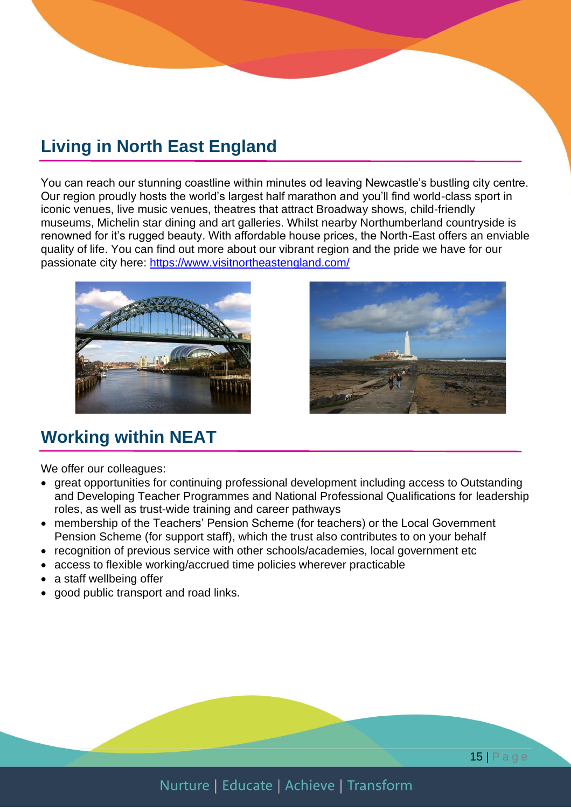### **Living in North East England**

You can reach our stunning coastline within minutes od leaving Newcastle's bustling city centre. Our region proudly hosts the world's largest half marathon and you'll find world-class sport in iconic venues, live music venues, theatres that attract Broadway shows, child-friendly museums, Michelin star dining and art galleries. Whilst nearby Northumberland countryside is renowned for it's rugged beauty. With affordable house prices, the North-East offers an enviable quality of life. You can find out more about our vibrant region and the pride we have for our passionate city here:<https://www.visitnortheastengland.com/>



## **Working within NEAT**

We offer our colleagues:

- great opportunities for continuing professional development including access to Outstanding and Developing Teacher Programmes and National Professional Qualifications for leadership roles, as well as trust-wide training and career pathways
- membership of the Teachers' Pension Scheme (for teachers) or the Local Government Pension Scheme (for support staff), which the trust also contributes to on your behalf
- recognition of previous service with other schools/academies, local government etc
- access to flexible working/accrued time policies wherever practicable
- a staff wellbeing offer
- good public transport and road links.

15 | P a g e